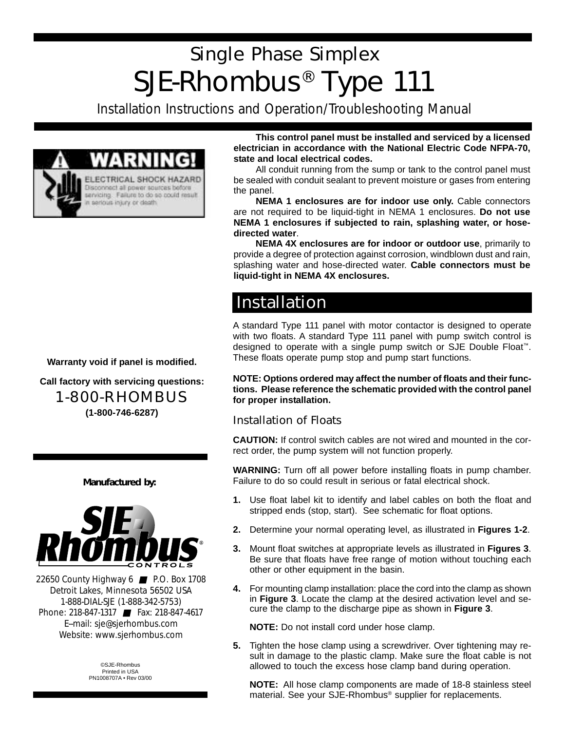# Single Phase Simplex SJE-Rhombus® Type 111

Installation Instructions and Operation/Troubleshooting Manual



**This control panel must be installed and serviced by a licensed electrician in accordance with the National Electric Code NFPA-70, state and local electrical codes.**

All conduit running from the sump or tank to the control panel must be sealed with conduit sealant to prevent moisture or gases from entering the panel.

**NEMA 1 enclosures are for indoor use only.** Cable connectors are not required to be liquid-tight in NEMA 1 enclosures. **Do not use NEMA 1 enclosures if subjected to rain, splashing water, or hosedirected water**.

**NEMA 4X enclosures are for indoor or outdoor use**, primarily to provide a degree of protection against corrosion, windblown dust and rain, splashing water and hose-directed water. **Cable connectors must be liquid-tight in NEMA 4X enclosures.**

### **Installation**

A standard Type 111 panel with motor contactor is designed to operate with two floats. A standard Type 111 panel with pump switch control is designed to operate with a single pump switch or SJE Double Float™. These floats operate pump stop and pump start functions.

**NOTE: Options ordered may affect the number of floats and their functions. Please reference the schematic provided with the control panel for proper installation.**

#### Installation of Floats

**CAUTION:** If control switch cables are not wired and mounted in the correct order, the pump system will not function properly.

**WARNING:** Turn off all power before installing floats in pump chamber. Failure to do so could result in serious or fatal electrical shock.

- **1.** Use float label kit to identify and label cables on both the float and stripped ends (stop, start). See schematic for float options.
- **2.** Determine your normal operating level, as illustrated in **Figures 1-2**.
- **3.** Mount float switches at appropriate levels as illustrated in **Figures 3**. Be sure that floats have free range of motion without touching each other or other equipment in the basin.
- **4.** For mounting clamp installation: place the cord into the clamp as shown in **Figure 3**. Locate the clamp at the desired activation level and secure the clamp to the discharge pipe as shown in **Figure 3**.

**NOTE:** Do not install cord under hose clamp.

**5.** Tighten the hose clamp using a screwdriver. Over tightening may result in damage to the plastic clamp. Make sure the float cable is not allowed to touch the excess hose clamp band during operation.

**NOTE:** All hose clamp components are made of 18-8 stainless steel material. See your SJE-Rhombus® supplier for replacements.

**Warranty void if panel is modified.**

**Call factory with servicing questions:** 1-800-RHOMBUS **(1-800-746-6287)**

#### **Manufactured by:**



22650 County Highway 6 ■ P.O. Box 1708 Detroit Lakes, Minnesota 56502 USA 1-888-DIAL-SJE (1-888-342-5753) Phone: 218-847-1317 ■ Fax: 218-847-4617 E--mail: sje@sjerhombus.com Website: www.sjerhombus.com

> ©SJE-Rhombus Printed in USA PN1008707A • Rev 03/00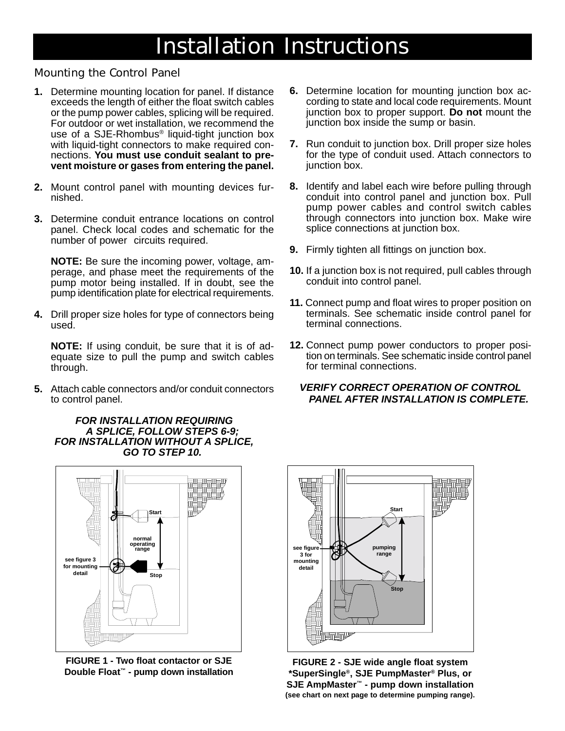### Installation Instructions

### Mounting the Control Panel

- **1.** Determine mounting location for panel. If distance exceeds the length of either the float switch cables or the pump power cables, splicing will be required. For outdoor or wet installation, we recommend the use of a SJE-Rhombus® liquid-tight junction box with liquid-tight connectors to make required connections. **You must use conduit sealant to prevent moisture or gases from entering the panel.**
- **2.** Mount control panel with mounting devices furnished.
- **3.** Determine conduit entrance locations on control panel. Check local codes and schematic for the number of power circuits required.

**NOTE:** Be sure the incoming power, voltage, amperage, and phase meet the requirements of the pump motor being installed. If in doubt, see the pump identification plate for electrical requirements.

**4.** Drill proper size holes for type of connectors being used.

**NOTE:** If using conduit, be sure that it is of adequate size to pull the pump and switch cables through.

**5.** Attach cable connectors and/or conduit connectors to control panel.

#### *FOR INSTALLATION REQUIRING A SPLICE, FOLLOW STEPS 6-9; FOR INSTALLATION WITHOUT A SPLICE, GO TO STEP 10.*



**FIGURE 1 - Two float contactor or SJE Double Float™ - pump down installation**

- **6.** Determine location for mounting junction box according to state and local code requirements. Mount junction box to proper support. **Do not** mount the junction box inside the sump or basin.
- **7.** Run conduit to junction box. Drill proper size holes for the type of conduit used. Attach connectors to junction box.
- **8.** Identify and label each wire before pulling through conduit into control panel and junction box. Pull pump power cables and control switch cables through connectors into junction box. Make wire splice connections at junction box.
- **9.** Firmly tighten all fittings on junction box.
- **10.** If a junction box is not required, pull cables through conduit into control panel.
- **11.** Connect pump and float wires to proper position on terminals. See schematic inside control panel for terminal connections.
- **12.** Connect pump power conductors to proper position on terminals. See schematic inside control panel for terminal connections.

#### *VERIFY CORRECT OPERATION OF CONTROL PANEL AFTER INSTALLATION IS COMPLETE.*



**FIGURE 2 - SJE wide angle float system \*SuperSingle®, SJE PumpMaster® Plus, or SJE AmpMaster™ - pump down installation (see chart on next page to determine pumping range).**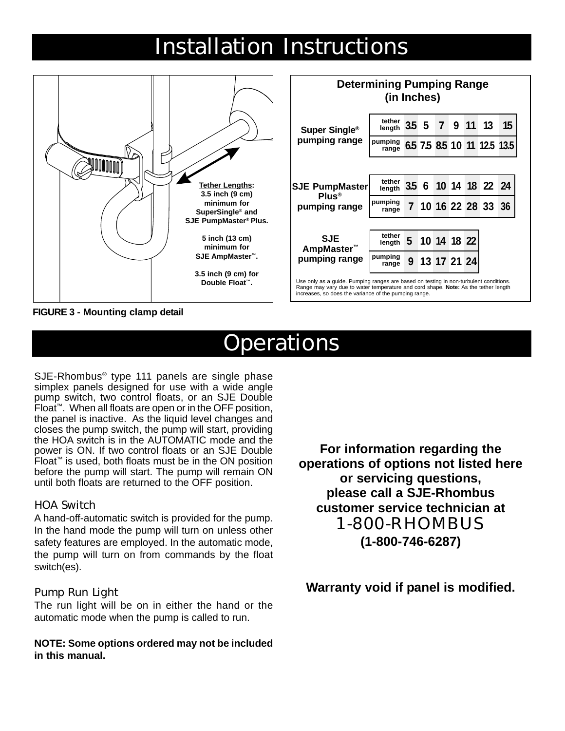### Installation Instructions



**FIGURE 3 - Mounting clamp detail**

### **Operations**

SJE-Rhombus® type 111 panels are single phase simplex panels designed for use with a wide angle pump switch, two control floats, or an SJE Double Float™. When all floats are open or in the OFF position, the panel is inactive. As the liquid level changes and closes the pump switch, the pump will start, providing the HOA switch is in the AUTOMATIC mode and the power is ON. If two control floats or an SJE Double Float™ is used, both floats must be in the ON position before the pump will start. The pump will remain ON until both floats are returned to the OFF position.

#### HOA Switch

A hand-off-automatic switch is provided for the pump. In the hand mode the pump will turn on unless other safety features are employed. In the automatic mode, the pump will turn on from commands by the float switch(es).

#### Pump Run Light

The run light will be on in either the hand or the automatic mode when the pump is called to run.

**NOTE: Some options ordered may not be included in this manual.**

**For information regarding the operations of options not listed here or servicing questions, please call a SJE-Rhombus customer service technician at** 1-800-RHOMBUS **(1-800-746-6287)**

**Warranty void if panel is modified.**